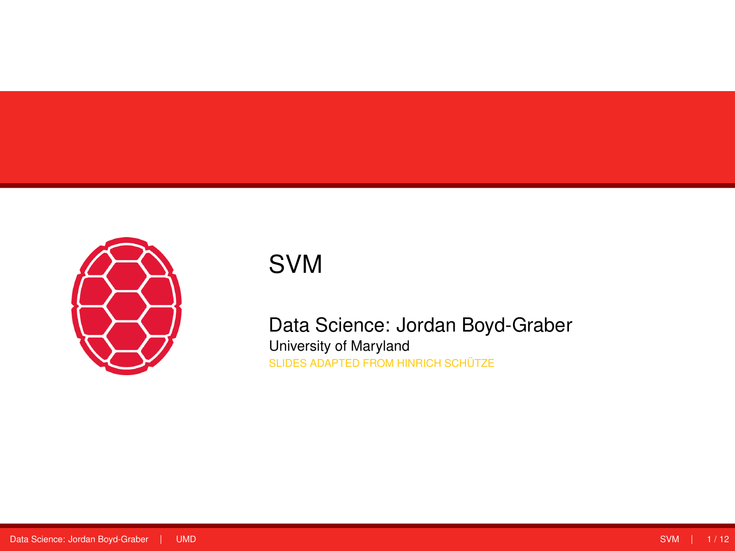<span id="page-0-0"></span>

## SVM

Data Science: Jordan Boyd-Graber University of Maryland SLIDES ADAPTED FROM HINRICH SCHÜTZE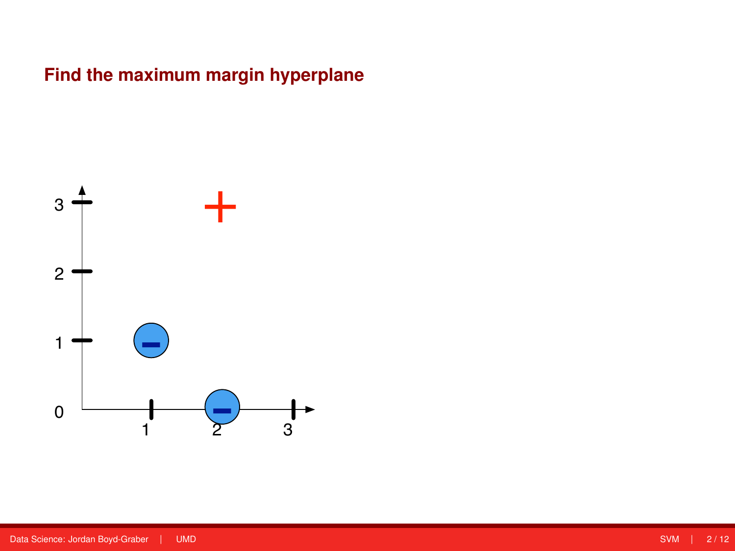## **Find the maximum margin hyperplane**

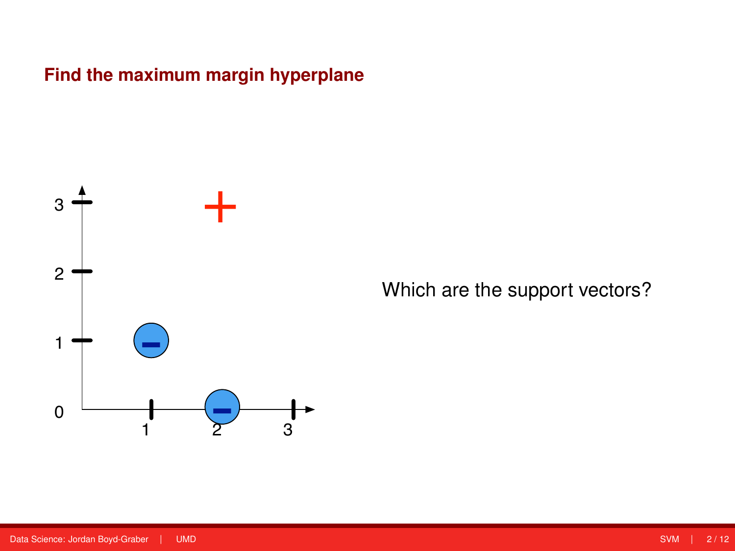**Find the maximum margin hyperplane**



Which are the support vectors?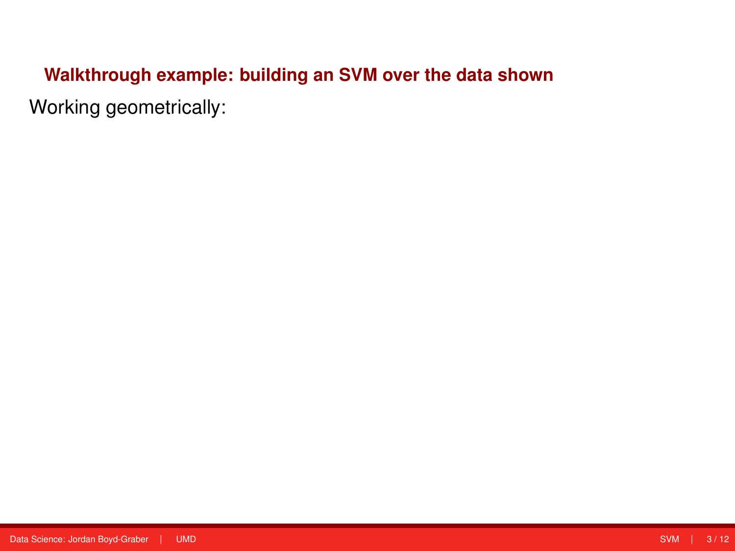# **Walkthrough example: building an SVM over the data shown**

Working geometrically: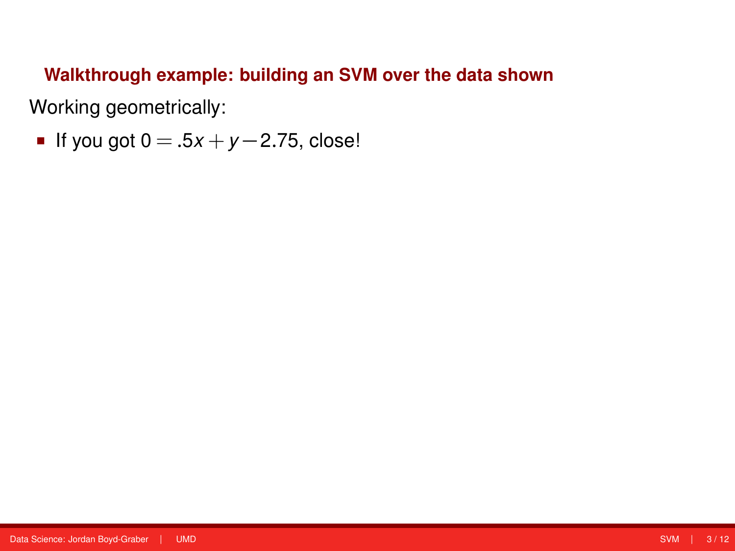## **Walkthrough example: building an SVM over the data shown**

Working geometrically:

**■** If you got  $0 = .5x + y - 2.75$ , close!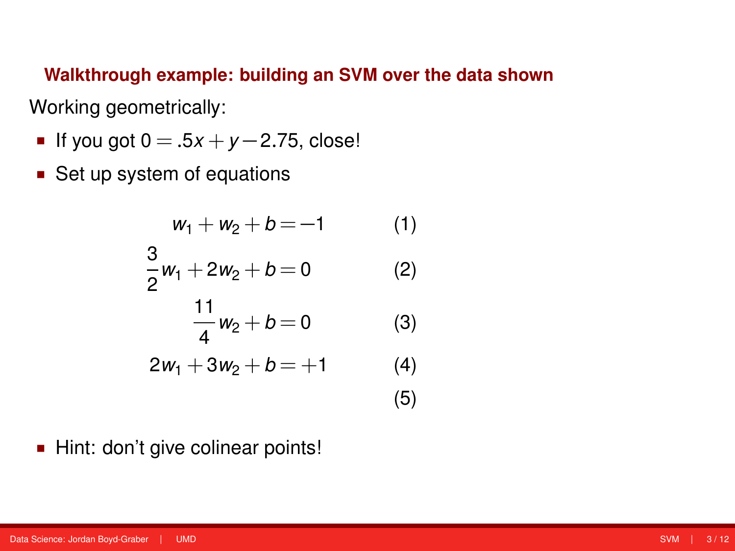**Walkthrough example: building an SVM over the data shown** Working geometrically:

- **■** If you got  $0 = .5x + y 2.75$ , close!
- Set up system of equations

$$
w_1 + w_2 + b = -1
$$
 (1)  
\n
$$
\frac{3}{2}w_1 + 2w_2 + b = 0
$$
 (2)  
\n
$$
\frac{11}{4}w_2 + b = 0
$$
 (3)  
\n
$$
2w_1 + 3w_2 + b = +1
$$
 (4)  
\n(5)

Hint: don't give colinear points!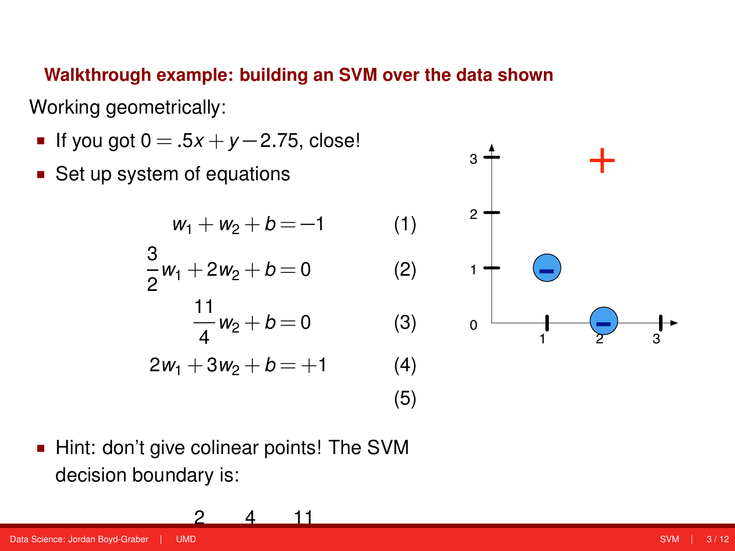**Walkthrough example: building an SVM over the data shown**

Working geometrically:

- **■** If you got  $0 = .5x + y 2.75$ , close!
- Set up system of equations



3

 Hint: don't give colinear points! The SVM decision boundary is:

> 2 *x* + 4 *y* − 11

 $11MD$ Data Science: Jordan Boyd-Graber | UMD [SVM](#page-0-0) | 3 / 12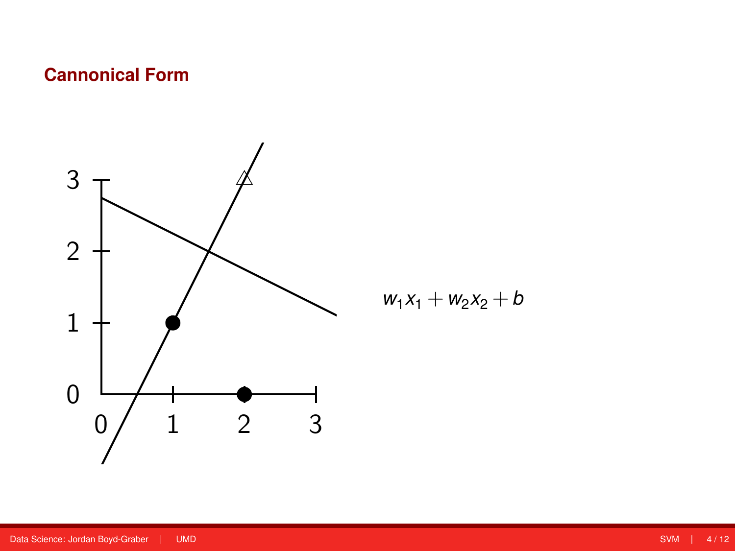## **Cannonical Form**



$$
w_1x_1+w_2x_2+b
$$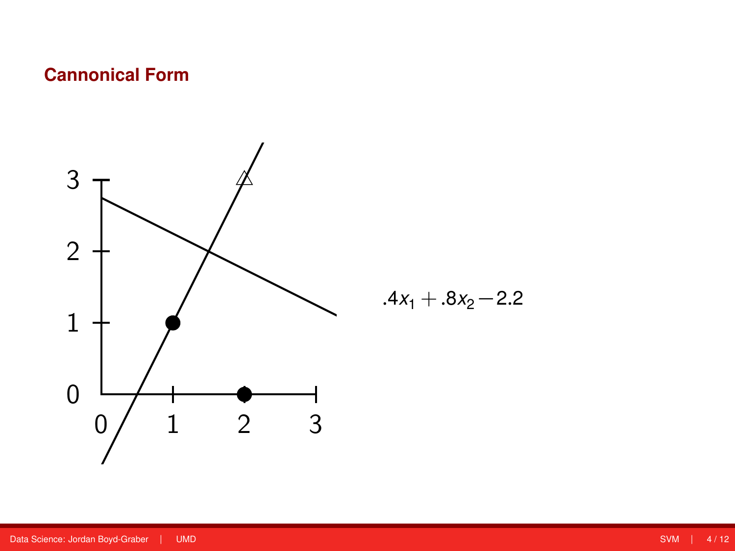## **Cannonical Form**



$$
.4x_1+.8x_2-2.2
$$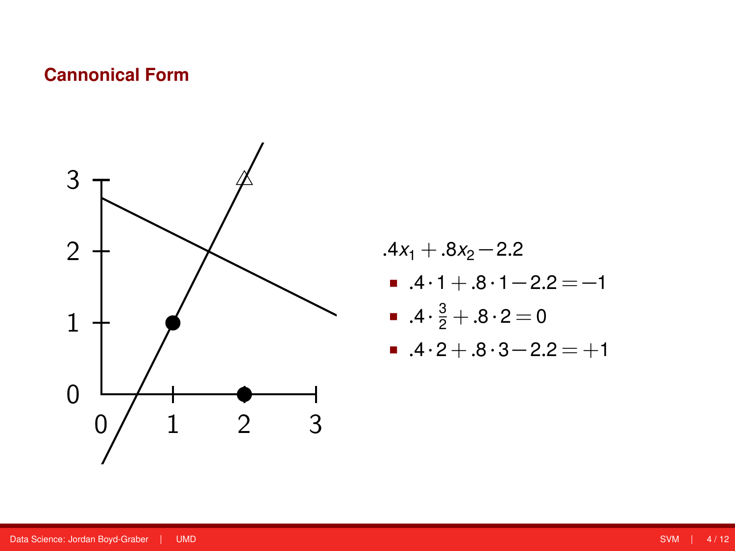#### **Cannonical Form**



 $.4x_1 + .8x_2 - 2.2$  $.4 \cdot 1 + .8 \cdot 1 - 2.2 = -1$ ■  $.4 \cdot \frac{3}{2} + .8 \cdot 2 = 0$  $-4.2 + .8.3 - 2.2 = +1$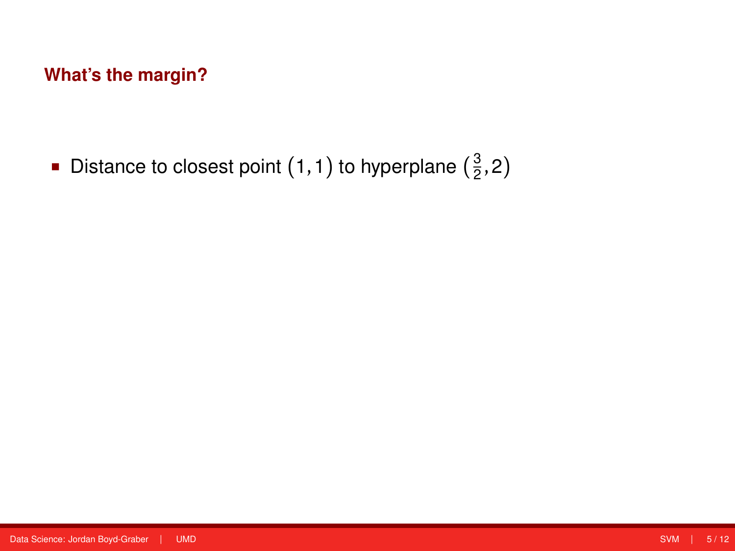**Distance to closest point (1, 1) to hyperplane**  $(\frac{3}{2}, 2)$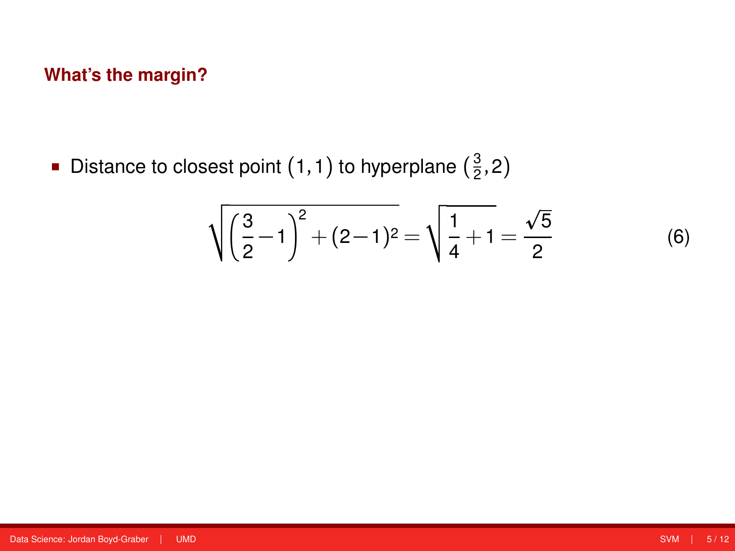**Distance to closest point (1, 1) to hyperplane**  $(\frac{3}{2}, 2)$ 

$$
\sqrt{\left(\frac{3}{2}-1\right)^2 + (2-1)^2} = \sqrt{\frac{1}{4}+1} = \frac{\sqrt{5}}{2} \tag{6}
$$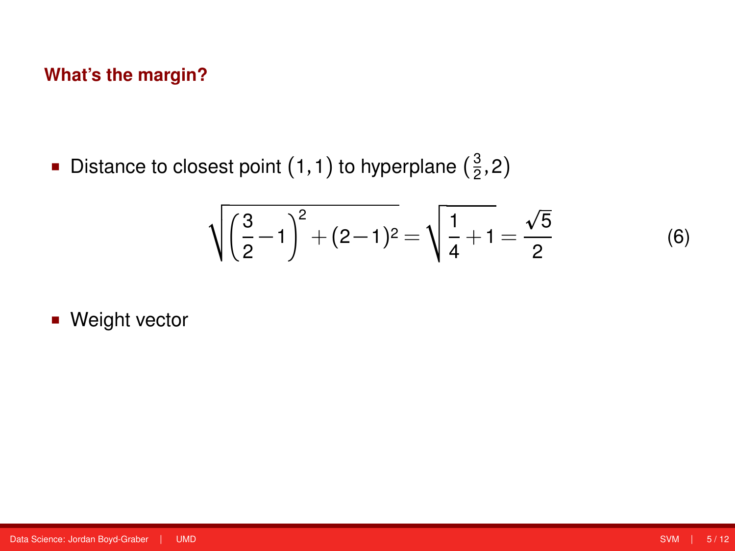**Distance to closest point (1, 1) to hyperplane**  $(\frac{3}{2}, 2)$ 

$$
\sqrt{\left(\frac{3}{2}-1\right)^2 + (2-1)^2} = \sqrt{\frac{1}{4}+1} = \frac{\sqrt{5}}{2} \tag{6}
$$

**Weight vector**